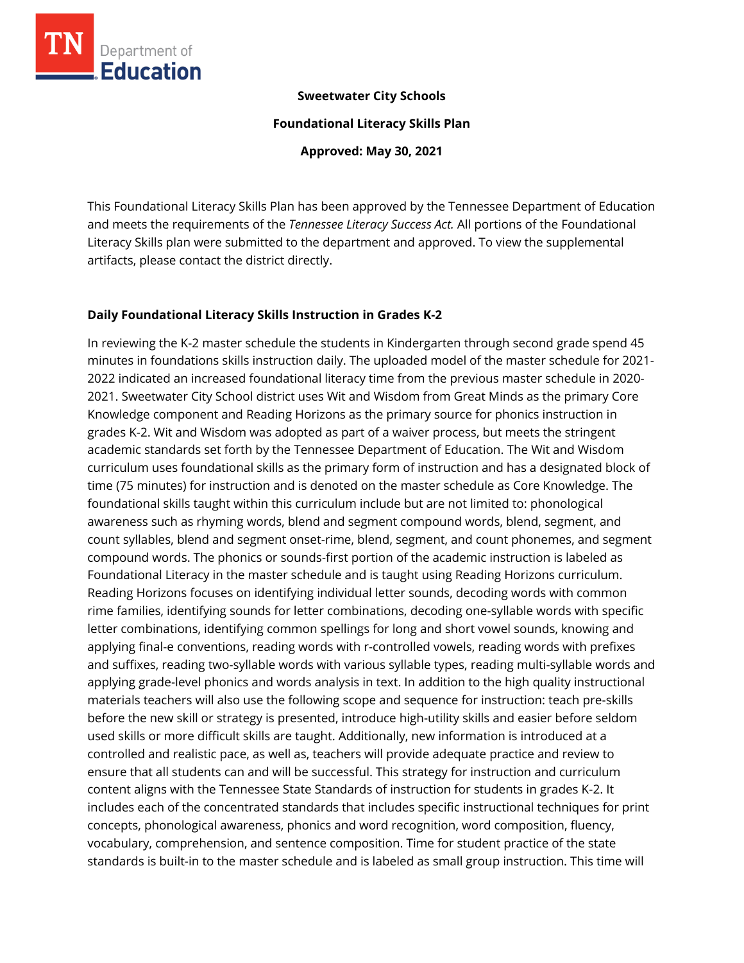

#### **Sweetwater City Schools**

**Foundational Literacy Skills Plan**

**Approved: May 30, 2021**

This Foundational Literacy Skills Plan has been approved by the Tennessee Department of Education and meets the requirements of the *Tennessee Literacy Success Act.* All portions of the Foundational Literacy Skills plan were submitted to the department and approved. To view the supplemental artifacts, please contact the district directly.

#### **Daily Foundational Literacy Skills Instruction in Grades K-2**

In reviewing the K-2 master schedule the students in Kindergarten through second grade spend 45 minutes in foundations skills instruction daily. The uploaded model of the master schedule for 2021- 2022 indicated an increased foundational literacy time from the previous master schedule in 2020- 2021. Sweetwater City School district uses Wit and Wisdom from Great Minds as the primary Core Knowledge component and Reading Horizons as the primary source for phonics instruction in grades K-2. Wit and Wisdom was adopted as part of a waiver process, but meets the stringent academic standards set forth by the Tennessee Department of Education. The Wit and Wisdom curriculum uses foundational skills as the primary form of instruction and has a designated block of time (75 minutes) for instruction and is denoted on the master schedule as Core Knowledge. The foundational skills taught within this curriculum include but are not limited to: phonological awareness such as rhyming words, blend and segment compound words, blend, segment, and count syllables, blend and segment onset-rime, blend, segment, and count phonemes, and segment compound words. The phonics or sounds-first portion of the academic instruction is labeled as Foundational Literacy in the master schedule and is taught using Reading Horizons curriculum. Reading Horizons focuses on identifying individual letter sounds, decoding words with common rime families, identifying sounds for letter combinations, decoding one-syllable words with specific letter combinations, identifying common spellings for long and short vowel sounds, knowing and applying final-e conventions, reading words with r-controlled vowels, reading words with prefixes and suffixes, reading two-syllable words with various syllable types, reading multi-syllable words and applying grade-level phonics and words analysis in text. In addition to the high quality instructional materials teachers will also use the following scope and sequence for instruction: teach pre-skills before the new skill or strategy is presented, introduce high-utility skills and easier before seldom used skills or more difficult skills are taught. Additionally, new information is introduced at a controlled and realistic pace, as well as, teachers will provide adequate practice and review to ensure that all students can and will be successful. This strategy for instruction and curriculum content aligns with the Tennessee State Standards of instruction for students in grades K-2. It includes each of the concentrated standards that includes specific instructional techniques for print concepts, phonological awareness, phonics and word recognition, word composition, fluency, vocabulary, comprehension, and sentence composition. Time for student practice of the state standards is built-in to the master schedule and is labeled as small group instruction. This time will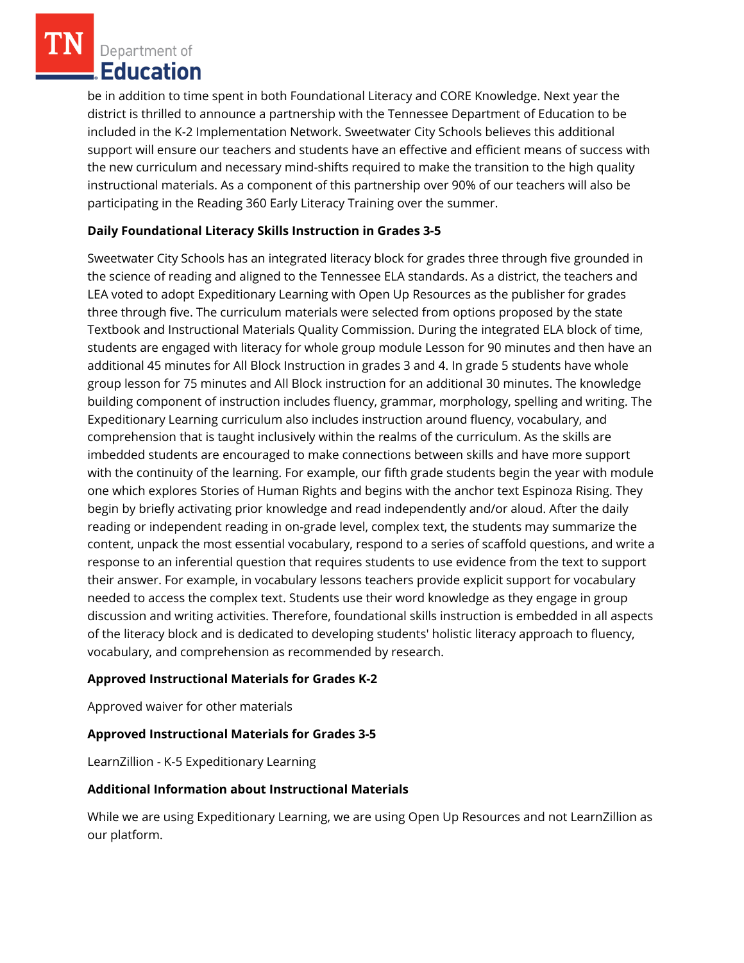Department of **Education** 

be in addition to time spent in both Foundational Literacy and CORE Knowledge. Next year the district is thrilled to announce a partnership with the Tennessee Department of Education to be included in the K-2 Implementation Network. Sweetwater City Schools believes this additional support will ensure our teachers and students have an effective and efficient means of success with the new curriculum and necessary mind-shifts required to make the transition to the high quality instructional materials. As a component of this partnership over 90% of our teachers will also be participating in the Reading 360 Early Literacy Training over the summer.

## **Daily Foundational Literacy Skills Instruction in Grades 3-5**

Sweetwater City Schools has an integrated literacy block for grades three through five grounded in the science of reading and aligned to the Tennessee ELA standards. As a district, the teachers and LEA voted to adopt Expeditionary Learning with Open Up Resources as the publisher for grades three through five. The curriculum materials were selected from options proposed by the state Textbook and Instructional Materials Quality Commission. During the integrated ELA block of time, students are engaged with literacy for whole group module Lesson for 90 minutes and then have an additional 45 minutes for All Block Instruction in grades 3 and 4. In grade 5 students have whole group lesson for 75 minutes and All Block instruction for an additional 30 minutes. The knowledge building component of instruction includes fluency, grammar, morphology, spelling and writing. The Expeditionary Learning curriculum also includes instruction around fluency, vocabulary, and comprehension that is taught inclusively within the realms of the curriculum. As the skills are imbedded students are encouraged to make connections between skills and have more support with the continuity of the learning. For example, our fifth grade students begin the year with module one which explores Stories of Human Rights and begins with the anchor text Espinoza Rising. They begin by briefly activating prior knowledge and read independently and/or aloud. After the daily reading or independent reading in on-grade level, complex text, the students may summarize the content, unpack the most essential vocabulary, respond to a series of scaffold questions, and write a response to an inferential question that requires students to use evidence from the text to support their answer. For example, in vocabulary lessons teachers provide explicit support for vocabulary needed to access the complex text. Students use their word knowledge as they engage in group discussion and writing activities. Therefore, foundational skills instruction is embedded in all aspects of the literacy block and is dedicated to developing students' holistic literacy approach to fluency, vocabulary, and comprehension as recommended by research.

### **Approved Instructional Materials for Grades K-2**

Approved waiver for other materials

### **Approved Instructional Materials for Grades 3-5**

LearnZillion - K-5 Expeditionary Learning

### **Additional Information about Instructional Materials**

While we are using Expeditionary Learning, we are using Open Up Resources and not LearnZillion as our platform.